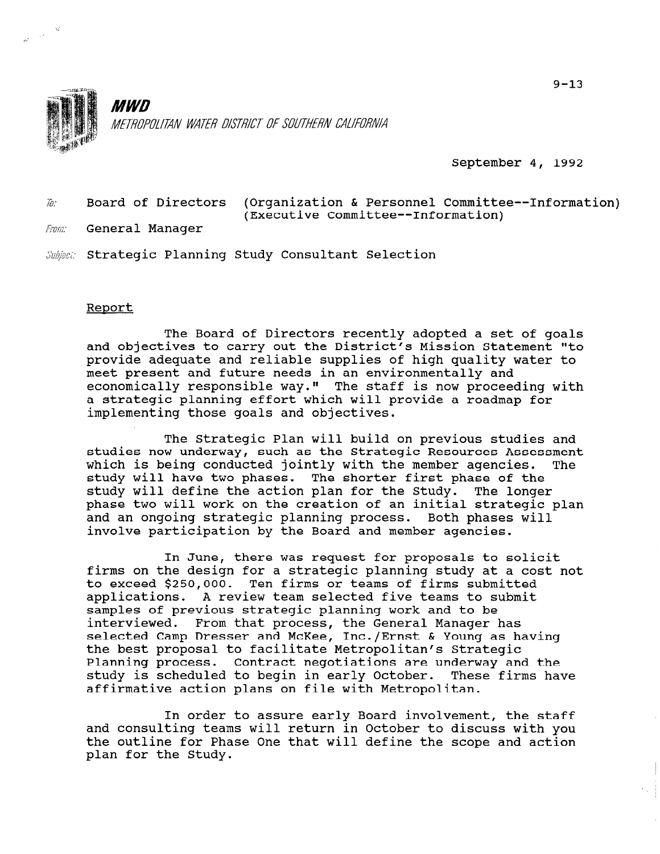

 $\mathcal{A}^{\mathcal{A}}$ 

**MWD** METROPOLITAN WATER DISTRICT OF SOUTHERN CALIFORNIA

September 4, 1992

 $\bar{h}$ : Board of Directors (Organization & Personnel Committee--Information) (Executive Committee--Information)

From: General Manager

Subject: Strategic Planning Study Consultant Selection

## Report

The Board of Directors recently adopted a set of goals and objectives to carry out the District's Mission Statement "to provide adequate and reliable supplies of high quality water to meet present and future needs in an environmentally and economically responsible way." The staff is now proceeding with a strategic planning effort which will provide a roadmap for implementing those goals and objectives.

The Strategic Plan will build on previous studies and studies now underway, such as the Strategic Resources Assessment which is being conducted jointly with the member agencies. The study will have two phases. The shorter first phase of the study will define the action plan for the Study. The longer phase two will work on the creation of an initial strategic plan and an ongoing strategic planning process. Both phases will involve participation by the Board and member agencies.

In June, there was request for proposals to solicit firms on the design for a strategic planning study at a cost not to exceed \$250,000. Ten firms or teams of firms submitted applications. A review team selected five teams to submit samples of previous strategic planning work and to be interviewed. From that process, the General Manager has selected Camp Dresser and McKee, Inc./Ernst & Young as having the best proposal to facilitate Metropolitan's Strategic Planning process. Contract negotiations are underway and the study is scheduled to begin in early October. These firms have stuuy is scheuuled to begin in early october.<br>Affirmative action plans on file with Metropoli

 $\tau$  order to assure early Board involvement, the staff and consulting teams will return in Order to design the consulting teams with  $\alpha$  and  $\beta$ and consulting teams will return in October to discuss with you the outline for Phase One that will define the scope and action plan for the Study.